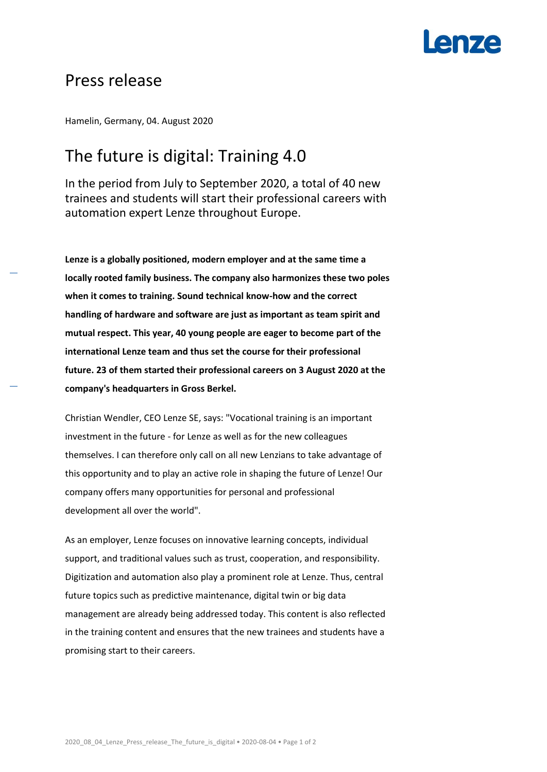# **Lenze**

### Press release

Hamelin, Germany, 04. August 2020

## The future is digital: Training 4.0

In the period from July to September 2020, a total of 40 new trainees and students will start their professional careers with automation expert Lenze throughout Europe.

**Lenze is a globally positioned, modern employer and at the same time a locally rooted family business. The company also harmonizes these two poles when it comes to training. Sound technical know-how and the correct handling of hardware and software are just as important as team spirit and mutual respect. This year, 40 young people are eager to become part of the international Lenze team and thus set the course for their professional future. 23 of them started their professional careers on 3 August 2020 at the company's headquarters in Gross Berkel.** 

Christian Wendler, CEO Lenze SE, says: "Vocational training is an important investment in the future - for Lenze as well as for the new colleagues themselves. I can therefore only call on all new Lenzians to take advantage of this opportunity and to play an active role in shaping the future of Lenze! Our company offers many opportunities for personal and professional development all over the world".

As an employer, Lenze focuses on innovative learning concepts, individual support, and traditional values such as trust, cooperation, and responsibility. Digitization and automation also play a prominent role at Lenze. Thus, central future topics such as predictive maintenance, digital twin or big data management are already being addressed today. This content is also reflected in the training content and ensures that the new trainees and students have a promising start to their careers.